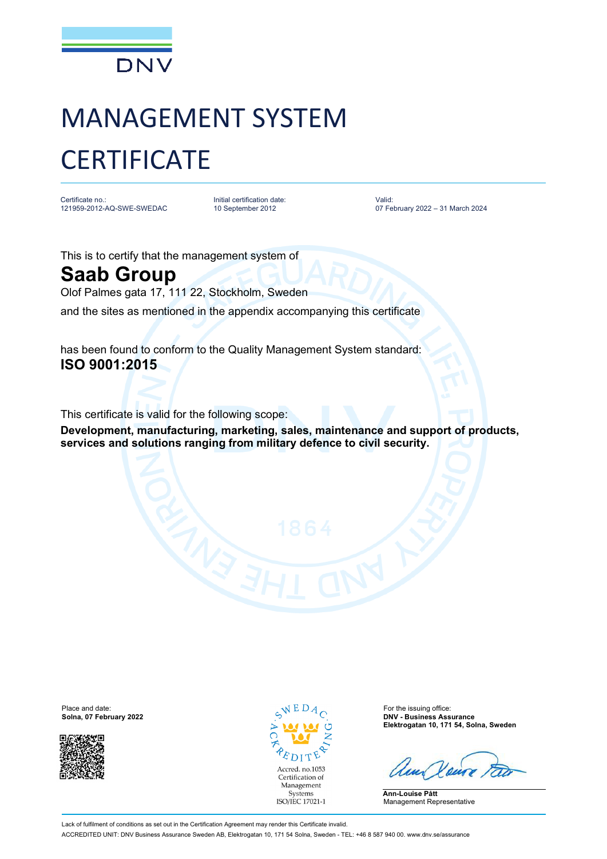

## MANAGEMENT SYSTEM **CERTIFICATE**

Certificate no.: 121959-2012-AQ-SWE-SWEDAC

Initial certification date: 10 September 2012

Valid: 07 February 2022 – 31 March 2024

This is to certify that the management system of

## **Saab Group**

Olof Palmes gata 17, 111 22, Stockholm, Sweden

and the sites as mentioned in the appendix accompanying this certificate

has been found to conform to the Quality Management System standard: **ISO 9001:2015**

This certificate is valid for the following scope:

**Development, manufacturing, marketing, sales, maintenance and support of products, services and solutions ranging from military defence to civil security.**

Place and date:  $\sqrt{E}D_{A}$  For the issuing office:



Accred. no.1053 Certification of Management Systems ISO/IEC 17021-1

**Solna, 07 February 2022 DNV - Business Assurance Elektrogatan 10, 171 54, Solna, Sweden**

**Ann-Louise Pått** Management Representative

Lack of fulfilment of conditions as set out in the Certification Agreement may render this Certificate invalid. ACCREDITED UNIT: DNV Business Assurance Sweden AB, Elektrogatan 10, 171 54 Solna, Sweden - TEL: +46 8 587 940 00. [www.dnv.se/assurance](http://www.dnv.se/assurance)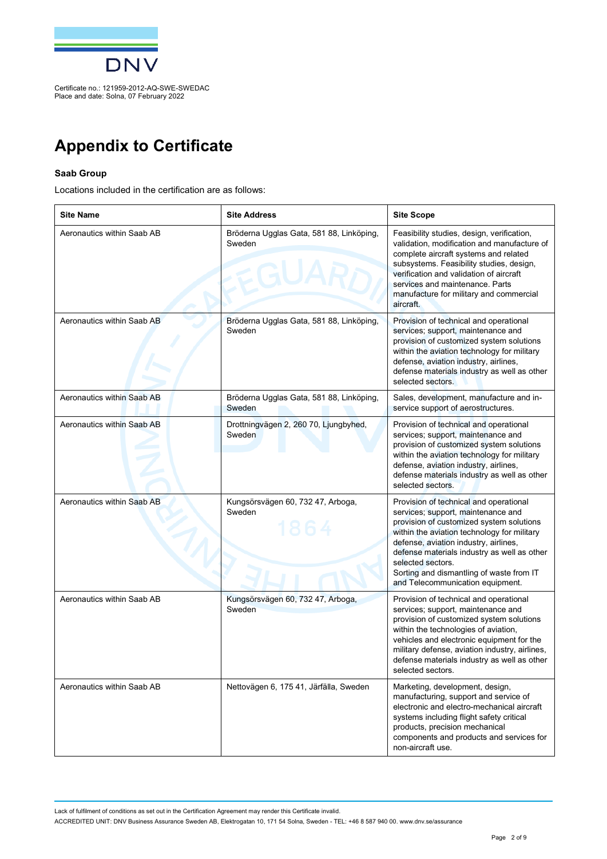

Place and date: Solna, 07 February 2022

## **Appendix to Certificate**

## **Saab Group**

Locations included in the certification are as follows:

| <b>Site Name</b>           | <b>Site Address</b>                                | <b>Site Scope</b>                                                                                                                                                                                                                                                                                                                                                    |
|----------------------------|----------------------------------------------------|----------------------------------------------------------------------------------------------------------------------------------------------------------------------------------------------------------------------------------------------------------------------------------------------------------------------------------------------------------------------|
| Aeronautics within Saab AB | Bröderna Ugglas Gata, 581 88, Linköping,<br>Sweden | Feasibility studies, design, verification,<br>validation, modification and manufacture of<br>complete aircraft systems and related<br>subsystems. Feasibility studies, design,<br>verification and validation of aircraft<br>services and maintenance. Parts<br>manufacture for military and commercial<br>aircraft.                                                 |
| Aeronautics within Saab AB | Bröderna Ugglas Gata, 581 88, Linköping,<br>Sweden | Provision of technical and operational<br>services; support, maintenance and<br>provision of customized system solutions<br>within the aviation technology for military<br>defense, aviation industry, airlines,<br>defense materials industry as well as other<br>selected sectors.                                                                                 |
| Aeronautics within Saab AB | Bröderna Ugglas Gata, 581 88, Linköping,<br>Sweden | Sales, development, manufacture and in-<br>service support of aerostructures.                                                                                                                                                                                                                                                                                        |
| Aeronautics within Saab AB | Drottningvägen 2, 260 70, Ljungbyhed,<br>Sweden    | Provision of technical and operational<br>services; support, maintenance and<br>provision of customized system solutions<br>within the aviation technology for military<br>defense, aviation industry, airlines,<br>defense materials industry as well as other<br>selected sectors.                                                                                 |
| Aeronautics within Saab AB | Kungsörsvägen 60, 732 47, Arboga,<br>Sweden        | Provision of technical and operational<br>services; support, maintenance and<br>provision of customized system solutions<br>within the aviation technology for military<br>defense, aviation industry, airlines,<br>defense materials industry as well as other<br>selected sectors.<br>Sorting and dismantling of waste from IT<br>and Telecommunication equipment. |
| Aeronautics within Saab AB | Kungsörsvägen 60, 732 47, Arboga,<br>Sweden        | Provision of technical and operational<br>services; support, maintenance and<br>provision of customized system solutions<br>within the technologies of aviation,<br>vehicles and electronic equipment for the<br>military defense, aviation industry, airlines,<br>defense materials industry as well as other<br>selected sectors.                                  |
| Aeronautics within Saab AB | Nettovägen 6, 175 41, Järfälla, Sweden             | Marketing, development, design,<br>manufacturing, support and service of<br>electronic and electro-mechanical aircraft<br>systems including flight safety critical<br>products, precision mechanical<br>components and products and services for<br>non-aircraft use.                                                                                                |

Lack of fulfilment of conditions as set out in the Certification Agreement may render this Certificate invalid.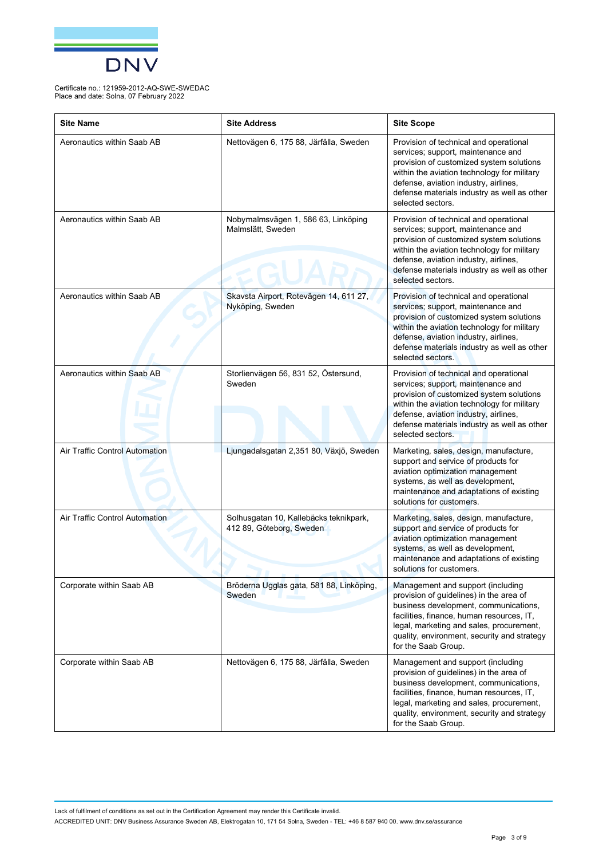

| <b>Site Name</b>                      | <b>Site Address</b>                                                | <b>Site Scope</b>                                                                                                                                                                                                                                                                    |
|---------------------------------------|--------------------------------------------------------------------|--------------------------------------------------------------------------------------------------------------------------------------------------------------------------------------------------------------------------------------------------------------------------------------|
| Aeronautics within Saab AB            | Nettovägen 6, 175 88, Järfälla, Sweden                             | Provision of technical and operational<br>services; support, maintenance and<br>provision of customized system solutions<br>within the aviation technology for military<br>defense, aviation industry, airlines,<br>defense materials industry as well as other<br>selected sectors. |
| Aeronautics within Saab AB            | Nobymalmsvägen 1, 586 63, Linköping<br>Malmslätt, Sweden           | Provision of technical and operational<br>services; support, maintenance and<br>provision of customized system solutions<br>within the aviation technology for military<br>defense, aviation industry, airlines,<br>defense materials industry as well as other<br>selected sectors. |
| Aeronautics within Saab AB            | Skavsta Airport, Rotevägen 14, 611 27,<br>Nyköping, Sweden         | Provision of technical and operational<br>services; support, maintenance and<br>provision of customized system solutions<br>within the aviation technology for military<br>defense, aviation industry, airlines,<br>defense materials industry as well as other<br>selected sectors. |
| Aeronautics within Saab AB            | Storlienvägen 56, 831 52, Östersund,<br>Sweden                     | Provision of technical and operational<br>services; support, maintenance and<br>provision of customized system solutions<br>within the aviation technology for military<br>defense, aviation industry, airlines,<br>defense materials industry as well as other<br>selected sectors. |
| <b>Air Traffic Control Automation</b> | Ljungadalsgatan 2,351 80, Växjö, Sweden                            | Marketing, sales, design, manufacture,<br>support and service of products for<br>aviation optimization management<br>systems, as well as development,<br>maintenance and adaptations of existing<br>solutions for customers.                                                         |
| Air Traffic Control Automation        | Solhusgatan 10, Kallebäcks teknikpark,<br>412 89, Göteborg, Sweden | Marketing, sales, design, manufacture,<br>support and service of products for<br>aviation optimization management<br>systems, as well as development,<br>maintenance and adaptations of existing<br>solutions for customers.                                                         |
| Corporate within Saab AB              | Bröderna Ugglas gata, 581 88, Linköping,<br>Sweden                 | Management and support (including<br>provision of guidelines) in the area of<br>business development, communications,<br>facilities, finance, human resources, IT,<br>legal, marketing and sales, procurement,<br>quality, environment, security and strategy<br>for the Saab Group. |
| Corporate within Saab AB              | Nettovägen 6, 175 88, Järfälla, Sweden                             | Management and support (including<br>provision of guidelines) in the area of<br>business development, communications,<br>facilities, finance, human resources, IT,<br>legal, marketing and sales, procurement,<br>quality, environment, security and strategy<br>for the Saab Group. |

Lack of fulfilment of conditions as set out in the Certification Agreement may render this Certificate invalid.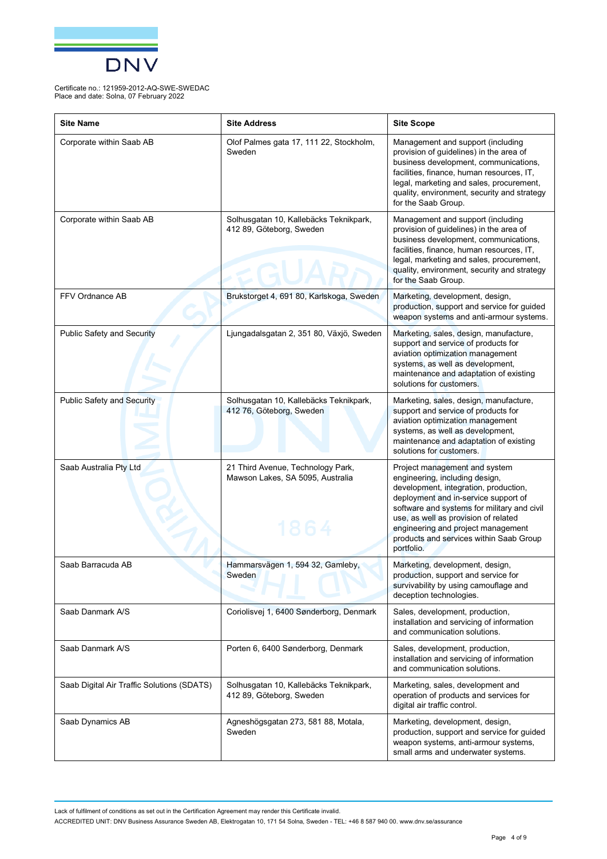

| <b>Site Name</b>                           | <b>Site Address</b>                                                   | <b>Site Scope</b>                                                                                                                                                                                                                                                                                                                      |
|--------------------------------------------|-----------------------------------------------------------------------|----------------------------------------------------------------------------------------------------------------------------------------------------------------------------------------------------------------------------------------------------------------------------------------------------------------------------------------|
| Corporate within Saab AB                   | Olof Palmes gata 17, 111 22, Stockholm,<br>Sweden                     | Management and support (including<br>provision of guidelines) in the area of<br>business development, communications,<br>facilities, finance, human resources, IT,<br>legal, marketing and sales, procurement,<br>quality, environment, security and strategy<br>for the Saab Group.                                                   |
| Corporate within Saab AB                   | Solhusgatan 10, Kallebäcks Teknikpark,<br>412 89, Göteborg, Sweden    | Management and support (including<br>provision of guidelines) in the area of<br>business development, communications,<br>facilities, finance, human resources, IT,<br>legal, marketing and sales, procurement,<br>quality, environment, security and strategy<br>for the Saab Group.                                                   |
| FFV Ordnance AB                            | Brukstorget 4, 691 80, Karlskoga, Sweden                              | Marketing, development, design,<br>production, support and service for guided<br>weapon systems and anti-armour systems.                                                                                                                                                                                                               |
| <b>Public Safety and Security</b>          | Ljungadalsgatan 2, 351 80, Växjö, Sweden                              | Marketing, sales, design, manufacture,<br>support and service of products for<br>aviation optimization management<br>systems, as well as development,<br>maintenance and adaptation of existing<br>solutions for customers.                                                                                                            |
| <b>Public Safety and Security</b>          | Solhusgatan 10, Kallebäcks Teknikpark,<br>412 76, Göteborg, Sweden    | Marketing, sales, design, manufacture,<br>support and service of products for<br>aviation optimization management<br>systems, as well as development,<br>maintenance and adaptation of existing<br>solutions for customers.                                                                                                            |
| Saab Australia Pty Ltd                     | 21 Third Avenue, Technology Park,<br>Mawson Lakes, SA 5095, Australia | Project management and system<br>engineering, including design,<br>development, integration, production,<br>deployment and in-service support of<br>software and systems for military and civil<br>use, as well as provision of related<br>engineering and project management<br>products and services within Saab Group<br>portfolio. |
| Saab Barracuda AB                          | Hammarsvägen 1, 594 32, Gamleby,<br>Sweden                            | Marketing, development, design,<br>production, support and service for<br>survivability by using camouflage and<br>deception technologies.                                                                                                                                                                                             |
| Saab Danmark A/S                           | Coriolisvej 1, 6400 Sønderborg, Denmark                               | Sales, development, production,<br>installation and servicing of information<br>and communication solutions.                                                                                                                                                                                                                           |
| Saab Danmark A/S                           | Porten 6, 6400 Sønderborg, Denmark                                    | Sales, development, production,<br>installation and servicing of information<br>and communication solutions.                                                                                                                                                                                                                           |
| Saab Digital Air Traffic Solutions (SDATS) | Solhusgatan 10, Kallebäcks Teknikpark,<br>412 89, Göteborg, Sweden    | Marketing, sales, development and<br>operation of products and services for<br>digital air traffic control.                                                                                                                                                                                                                            |
| Saab Dynamics AB                           | Agneshögsgatan 273, 581 88, Motala,<br>Sweden                         | Marketing, development, design,<br>production, support and service for guided<br>weapon systems, anti-armour systems,<br>small arms and underwater systems.                                                                                                                                                                            |

Lack of fulfilment of conditions as set out in the Certification Agreement may render this Certificate invalid.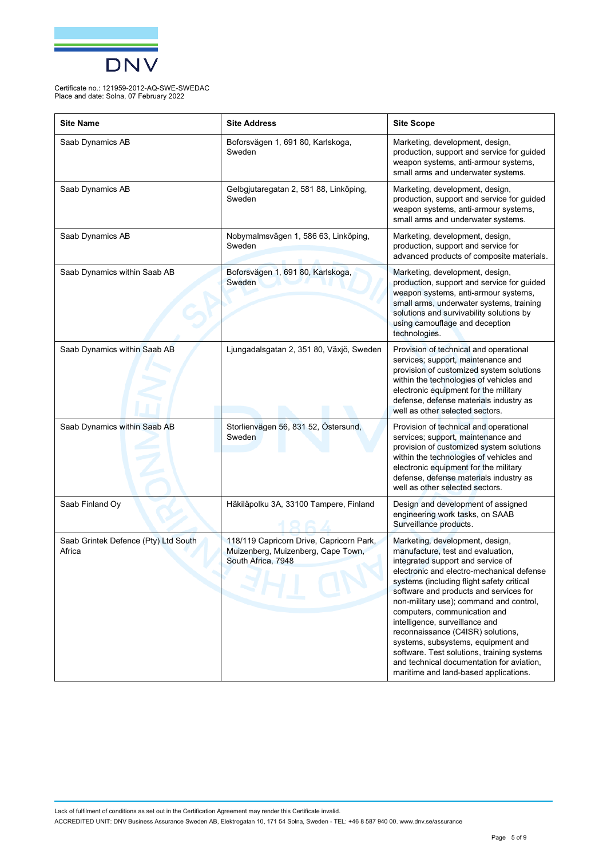

| <b>Site Name</b>                               | <b>Site Address</b>                                                                                  | <b>Site Scope</b>                                                                                                                                                                                                                                                                                                                                                                                                                                                                                                                                                         |
|------------------------------------------------|------------------------------------------------------------------------------------------------------|---------------------------------------------------------------------------------------------------------------------------------------------------------------------------------------------------------------------------------------------------------------------------------------------------------------------------------------------------------------------------------------------------------------------------------------------------------------------------------------------------------------------------------------------------------------------------|
| Saab Dynamics AB                               | Boforsvägen 1, 691 80, Karlskoga,<br>Sweden                                                          | Marketing, development, design,<br>production, support and service for guided<br>weapon systems, anti-armour systems,<br>small arms and underwater systems.                                                                                                                                                                                                                                                                                                                                                                                                               |
| Saab Dynamics AB                               | Gelbgjutaregatan 2, 581 88, Linköping,<br>Sweden                                                     | Marketing, development, design,<br>production, support and service for guided<br>weapon systems, anti-armour systems,<br>small arms and underwater systems.                                                                                                                                                                                                                                                                                                                                                                                                               |
| Saab Dynamics AB                               | Nobymalmsvägen 1, 586 63, Linköping,<br>Sweden                                                       | Marketing, development, design,<br>production, support and service for<br>advanced products of composite materials.                                                                                                                                                                                                                                                                                                                                                                                                                                                       |
| Saab Dynamics within Saab AB                   | Boforsvägen 1, 691 80, Karlskoga,<br>Sweden                                                          | Marketing, development, design,<br>production, support and service for guided<br>weapon systems, anti-armour systems,<br>small arms, underwater systems, training<br>solutions and survivability solutions by<br>using camouflage and deception<br>technologies.                                                                                                                                                                                                                                                                                                          |
| Saab Dynamics within Saab AB                   | Ljungadalsgatan 2, 351 80, Växjö, Sweden                                                             | Provision of technical and operational<br>services; support, maintenance and<br>provision of customized system solutions<br>within the technologies of vehicles and<br>electronic equipment for the military<br>defense, defense materials industry as<br>well as other selected sectors.                                                                                                                                                                                                                                                                                 |
| Saab Dynamics within Saab AB                   | Storlienvägen 56, 831 52, Östersund,<br>Sweden                                                       | Provision of technical and operational<br>services; support, maintenance and<br>provision of customized system solutions<br>within the technologies of vehicles and<br>electronic equipment for the military<br>defense, defense materials industry as<br>well as other selected sectors.                                                                                                                                                                                                                                                                                 |
| Saab Finland Oy                                | Häkiläpolku 3A, 33100 Tampere, Finland                                                               | Design and development of assigned<br>engineering work tasks, on SAAB<br>Surveillance products.                                                                                                                                                                                                                                                                                                                                                                                                                                                                           |
| Saab Grintek Defence (Pty) Ltd South<br>Africa | 118/119 Capricorn Drive, Capricorn Park,<br>Muizenberg, Muizenberg, Cape Town,<br>South Africa, 7948 | Marketing, development, design,<br>manufacture, test and evaluation,<br>integrated support and service of<br>electronic and electro-mechanical defense<br>systems (including flight safety critical<br>software and products and services for<br>non-military use); command and control,<br>computers, communication and<br>intelligence, surveillance and<br>reconnaissance (C4ISR) solutions,<br>systems, subsystems, equipment and<br>software. Test solutions, training systems<br>and technical documentation for aviation,<br>maritime and land-based applications. |

Lack of fulfilment of conditions as set out in the Certification Agreement may render this Certificate invalid. ACCREDITED UNIT: DNV Business Assurance Sweden AB, Elektrogatan 10, 171 54 Solna, Sweden - TEL: +46 8 587 940 00. [www.dnv.se/assurance](http://www.dnv.se/assurance)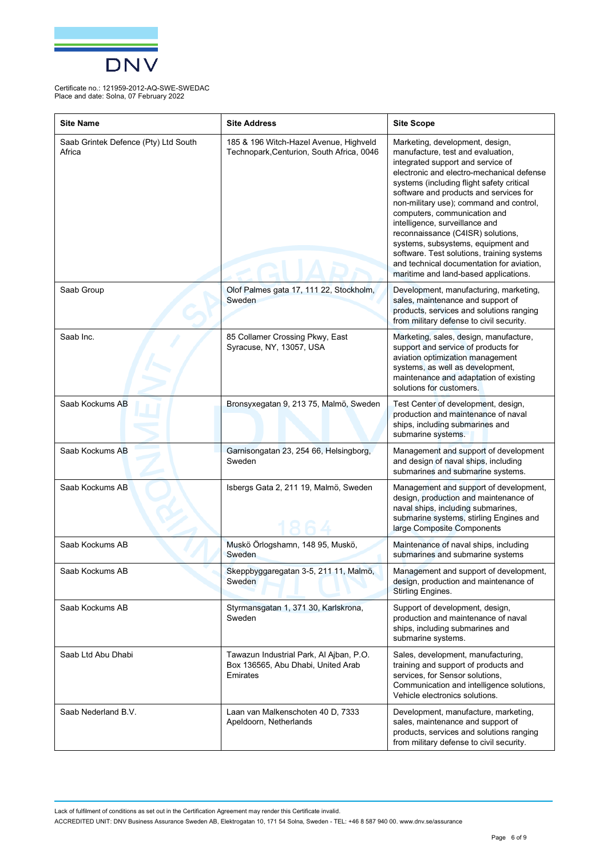

| <b>Site Name</b>                               | <b>Site Address</b>                                                                       | <b>Site Scope</b>                                                                                                                                                                                                                                                                                                                                                                                                                                                                                                                                                         |
|------------------------------------------------|-------------------------------------------------------------------------------------------|---------------------------------------------------------------------------------------------------------------------------------------------------------------------------------------------------------------------------------------------------------------------------------------------------------------------------------------------------------------------------------------------------------------------------------------------------------------------------------------------------------------------------------------------------------------------------|
| Saab Grintek Defence (Pty) Ltd South<br>Africa | 185 & 196 Witch-Hazel Avenue, Highveld<br>Technopark, Centurion, South Africa, 0046       | Marketing, development, design,<br>manufacture, test and evaluation,<br>integrated support and service of<br>electronic and electro-mechanical defense<br>systems (including flight safety critical<br>software and products and services for<br>non-military use); command and control,<br>computers, communication and<br>intelligence, surveillance and<br>reconnaissance (C4ISR) solutions,<br>systems, subsystems, equipment and<br>software. Test solutions, training systems<br>and technical documentation for aviation,<br>maritime and land-based applications. |
| Saab Group                                     | Olof Palmes gata 17, 111 22, Stockholm,<br>Sweden                                         | Development, manufacturing, marketing,<br>sales, maintenance and support of<br>products, services and solutions ranging<br>from military defense to civil security.                                                                                                                                                                                                                                                                                                                                                                                                       |
| Saab Inc.                                      | 85 Collamer Crossing Pkwy, East<br>Syracuse, NY, 13057, USA                               | Marketing, sales, design, manufacture,<br>support and service of products for<br>aviation optimization management<br>systems, as well as development,<br>maintenance and adaptation of existing<br>solutions for customers.                                                                                                                                                                                                                                                                                                                                               |
| Saab Kockums AB                                | Bronsyxegatan 9, 213 75, Malmö, Sweden                                                    | Test Center of development, design,<br>production and maintenance of naval<br>ships, including submarines and<br>submarine systems.                                                                                                                                                                                                                                                                                                                                                                                                                                       |
| Saab Kockums AB                                | Garnisongatan 23, 254 66, Helsingborg,<br>Sweden                                          | Management and support of development<br>and design of naval ships, including<br>submarines and submarine systems.                                                                                                                                                                                                                                                                                                                                                                                                                                                        |
| Saab Kockums AB                                | Isbergs Gata 2, 211 19, Malmö, Sweden                                                     | Management and support of development,<br>design, production and maintenance of<br>naval ships, including submarines,<br>submarine systems, stirling Engines and<br>large Composite Components                                                                                                                                                                                                                                                                                                                                                                            |
| Saab Kockums AB                                | Muskö Örlogshamn, 148 95, Muskö,<br>Sweden                                                | Maintenance of naval ships, including<br>submarines and submarine systems                                                                                                                                                                                                                                                                                                                                                                                                                                                                                                 |
| Saab Kockums AB                                | Skeppbyggaregatan 3-5, 211 11, Malmö,<br>Sweden                                           | Management and support of development,<br>design, production and maintenance of<br>Stirling Engines.                                                                                                                                                                                                                                                                                                                                                                                                                                                                      |
| Saab Kockums AB                                | Styrmansgatan 1, 371 30, Karlskrona,<br>Sweden                                            | Support of development, design,<br>production and maintenance of naval<br>ships, including submarines and<br>submarine systems.                                                                                                                                                                                                                                                                                                                                                                                                                                           |
| Saab Ltd Abu Dhabi                             | Tawazun Industrial Park, Al Ajban, P.O.<br>Box 136565, Abu Dhabi, United Arab<br>Emirates | Sales, development, manufacturing,<br>training and support of products and<br>services, for Sensor solutions,<br>Communication and intelligence solutions,<br>Vehicle electronics solutions.                                                                                                                                                                                                                                                                                                                                                                              |
| Saab Nederland B.V.                            | Laan van Malkenschoten 40 D, 7333<br>Apeldoorn, Netherlands                               | Development, manufacture, marketing,<br>sales, maintenance and support of<br>products, services and solutions ranging<br>from military defense to civil security.                                                                                                                                                                                                                                                                                                                                                                                                         |

Lack of fulfilment of conditions as set out in the Certification Agreement may render this Certificate invalid.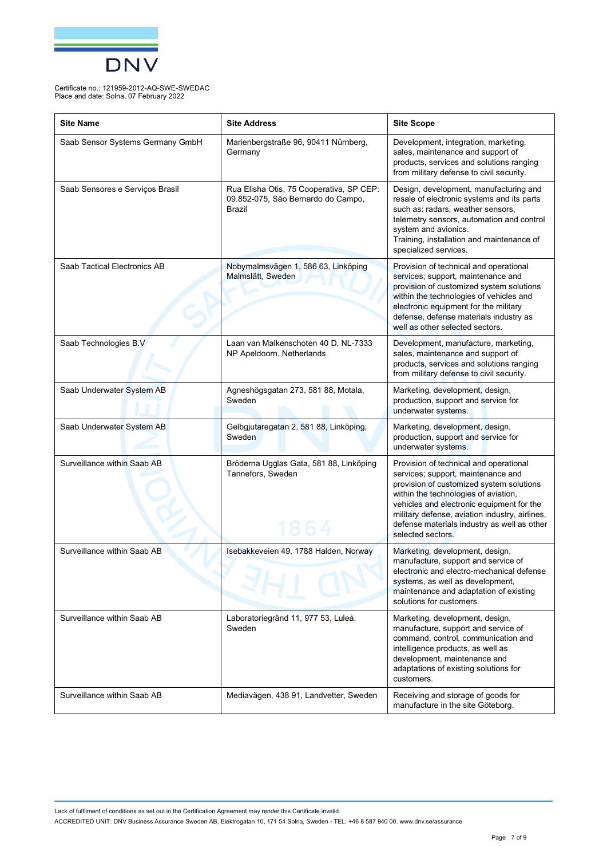

| <b>Site Name</b>                 | <b>Site Address</b>                                                                             | <b>Site Scope</b>                                                                                                                                                                                                                                                                                                                   |
|----------------------------------|-------------------------------------------------------------------------------------------------|-------------------------------------------------------------------------------------------------------------------------------------------------------------------------------------------------------------------------------------------------------------------------------------------------------------------------------------|
| Saab Sensor Systems Germany GmbH | Marienbergstraße 96, 90411 Nürnberg,<br>Germany                                                 | Development, integration, marketing,<br>sales, maintenance and support of<br>products, services and solutions ranging<br>from military defense to civil security.                                                                                                                                                                   |
| Saab Sensores e Serviços Brasil  | Rua Elisha Otis, 75 Cooperativa, SP CEP:<br>09.852-075, São Bernardo do Campo,<br><b>Brazil</b> | Design, development, manufacturing and<br>resale of electronic systems and its parts<br>such as: radars, weather sensors,<br>telemetry sensors, automation and control<br>system and avionics.<br>Training, installation and maintenance of<br>specialized services.                                                                |
| Saab Tactical Electronics AB     | Nobymalmsvägen 1, 586 63, Linköping<br>Malmslätt, Sweden                                        | Provision of technical and operational<br>services; support, maintenance and<br>provision of customized system solutions<br>within the technologies of vehicles and<br>electronic equipment for the military<br>defense, defense materials industry as<br>well as other selected sectors.                                           |
| Saab Technologies B.V            | Laan van Malkenschoten 40 D, NL-7333<br>NP Apeldoorn, Netherlands                               | Development, manufacture, marketing,<br>sales, maintenance and support of<br>products, services and solutions ranging<br>from military defense to civil security.                                                                                                                                                                   |
| Saab Underwater System AB        | Agneshögsgatan 273, 581 88, Motala,<br>Sweden                                                   | Marketing, development, design,<br>production, support and service for<br>underwater systems.                                                                                                                                                                                                                                       |
| Saab Underwater System AB        | Gelbgjutaregatan 2, 581 88, Linköping,<br>Sweden                                                | Marketing, development, design,<br>production, support and service for<br>underwater systems.                                                                                                                                                                                                                                       |
| Surveillance within Saab AB      | Bröderna Ugglas Gata, 581 88, Linköping<br>Tannefors, Sweden                                    | Provision of technical and operational<br>services; support, maintenance and<br>provision of customized system solutions<br>within the technologies of aviation,<br>vehicles and electronic equipment for the<br>military defense, aviation industry, airlines,<br>defense materials industry as well as other<br>selected sectors. |
| Surveillance within Saab AB      | Isebakkeveien 49, 1788 Halden, Norway                                                           | Marketing, development, design,<br>manufacture, support and service of<br>electronic and electro-mechanical defense<br>systems, as well as development,<br>maintenance and adaptation of existing<br>solutions for customers.                                                                                                       |
| Surveillance within Saab AB      | Laboratoriegränd 11, 977 53, Luleå,<br>Sweden                                                   | Marketing, development, design,<br>manufacture, support and service of<br>command, control, communication and<br>intelligence products, as well as<br>development, maintenance and<br>adaptations of existing solutions for<br>customers.                                                                                           |
| Surveillance within Saab AB      | Mediavägen, 438 91, Landvetter, Sweden                                                          | Receiving and storage of goods for<br>manufacture in the site Göteborg.                                                                                                                                                                                                                                                             |

Lack of fulfilment of conditions as set out in the Certification Agreement may render this Certificate invalid.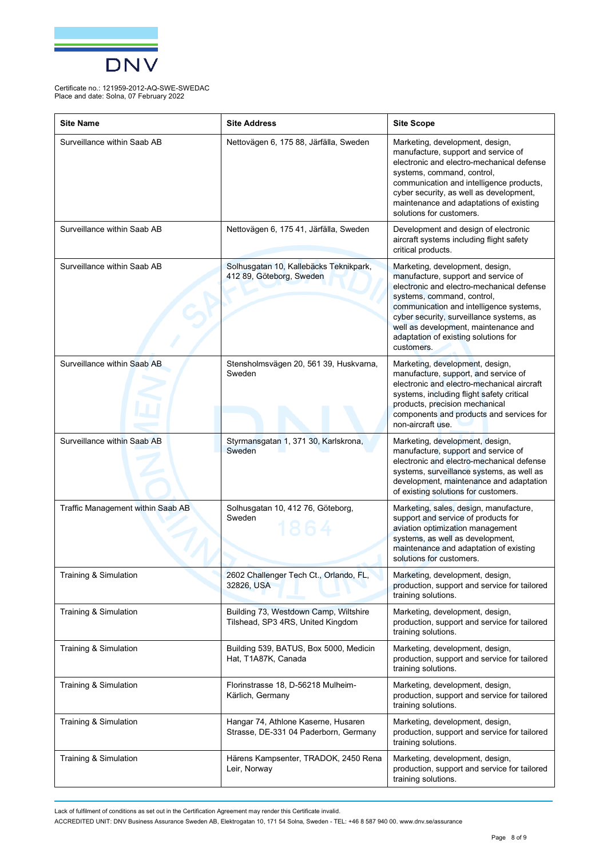

| <b>Site Name</b>                  | <b>Site Address</b>                                                          | <b>Site Scope</b>                                                                                                                                                                                                                                                                                                                      |
|-----------------------------------|------------------------------------------------------------------------------|----------------------------------------------------------------------------------------------------------------------------------------------------------------------------------------------------------------------------------------------------------------------------------------------------------------------------------------|
| Surveillance within Saab AB       | Nettovägen 6, 175 88, Järfälla, Sweden                                       | Marketing, development, design,<br>manufacture, support and service of<br>electronic and electro-mechanical defense<br>systems, command, control,<br>communication and intelligence products,<br>cyber security, as well as development,<br>maintenance and adaptations of existing<br>solutions for customers.                        |
| Surveillance within Saab AB       | Nettovägen 6, 175 41, Järfälla, Sweden                                       | Development and design of electronic<br>aircraft systems including flight safety<br>critical products.                                                                                                                                                                                                                                 |
| Surveillance within Saab AB       | Solhusgatan 10, Kallebäcks Teknikpark,<br>412 89, Göteborg, Sweden           | Marketing, development, design,<br>manufacture, support and service of<br>electronic and electro-mechanical defense<br>systems, command, control,<br>communication and intelligence systems,<br>cyber security, surveillance systems, as<br>well as development, maintenance and<br>adaptation of existing solutions for<br>customers. |
| Surveillance within Saab AB       | Stensholmsvägen 20, 561 39, Huskvarna,<br>Sweden                             | Marketing, development, design,<br>manufacture, support, and service of<br>electronic and electro-mechanical aircraft<br>systems, including flight safety critical<br>products, precision mechanical<br>components and products and services for<br>non-aircraft use.                                                                  |
| Surveillance within Saab AB       | Styrmansgatan 1, 371 30, Karlskrona,<br>Sweden                               | Marketing, development, design,<br>manufacture, support and service of<br>electronic and electro-mechanical defense<br>systems, surveillance systems, as well as<br>development, maintenance and adaptation<br>of existing solutions for customers.                                                                                    |
| Traffic Management within Saab AB | Solhusgatan 10, 412 76, Göteborg,<br>Sweden                                  | Marketing, sales, design, manufacture,<br>support and service of products for<br>aviation optimization management<br>systems, as well as development,<br>maintenance and adaptation of existing<br>solutions for customers.                                                                                                            |
| Training & Simulation             | 2602 Challenger Tech Ct., Orlando, FL,<br>32826, USA                         | Marketing, development, design,<br>production, support and service for tailored<br>training solutions.                                                                                                                                                                                                                                 |
| Training & Simulation             | Building 73, Westdown Camp, Wiltshire<br>Tilshead, SP3 4RS, United Kingdom   | Marketing, development, design,<br>production, support and service for tailored<br>training solutions.                                                                                                                                                                                                                                 |
| Training & Simulation             | Building 539, BATUS, Box 5000, Medicin<br>Hat, T1A87K, Canada                | Marketing, development, design,<br>production, support and service for tailored<br>training solutions.                                                                                                                                                                                                                                 |
| Training & Simulation             | Florinstrasse 18, D-56218 Mulheim-<br>Kärlich, Germany                       | Marketing, development, design,<br>production, support and service for tailored<br>training solutions.                                                                                                                                                                                                                                 |
| Training & Simulation             | Hangar 74, Athlone Kaserne, Husaren<br>Strasse, DE-331 04 Paderborn, Germany | Marketing, development, design,<br>production, support and service for tailored<br>training solutions.                                                                                                                                                                                                                                 |
| Training & Simulation             | Härens Kampsenter, TRADOK, 2450 Rena<br>Leir, Norway                         | Marketing, development, design,<br>production, support and service for tailored<br>training solutions.                                                                                                                                                                                                                                 |

Lack of fulfilment of conditions as set out in the Certification Agreement may render this Certificate invalid.